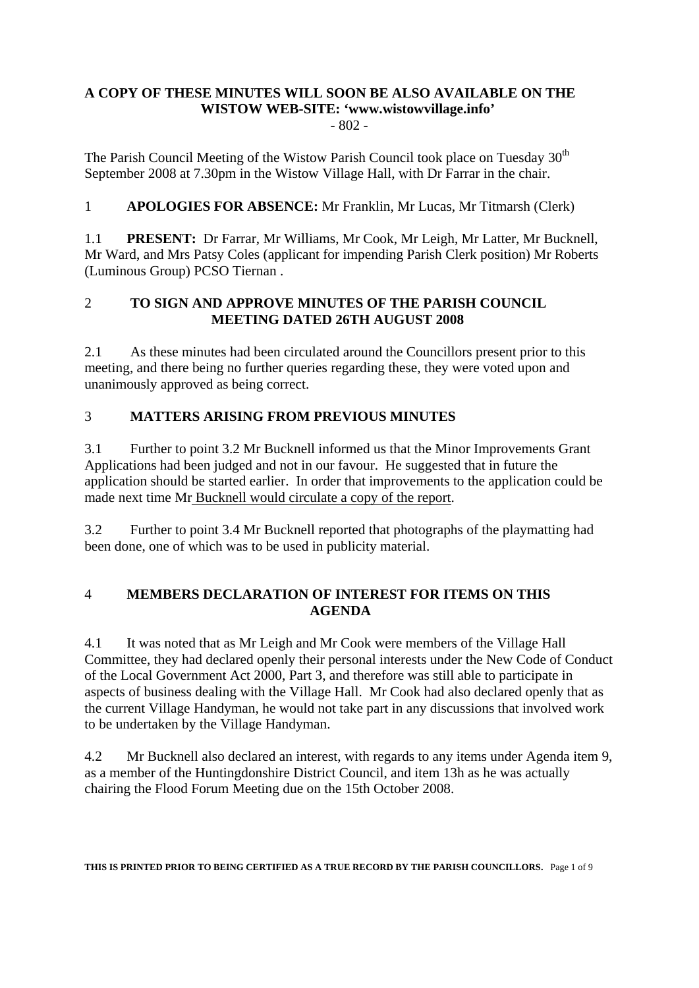# **A COPY OF THESE MINUTES WILL SOON BE ALSO AVAILABLE ON THE WISTOW WEB-SITE: 'www.wistowvillage.info'**

- 802 -

The Parish Council Meeting of the Wistow Parish Council took place on Tuesday  $30<sup>th</sup>$ September 2008 at 7.30pm in the Wistow Village Hall, with Dr Farrar in the chair.

1 **APOLOGIES FOR ABSENCE:** Mr Franklin, Mr Lucas, Mr Titmarsh (Clerk)

1.1 **PRESENT:** Dr Farrar, Mr Williams, Mr Cook, Mr Leigh, Mr Latter, Mr Bucknell, Mr Ward, and Mrs Patsy Coles (applicant for impending Parish Clerk position) Mr Roberts (Luminous Group) PCSO Tiernan .

### 2 **TO SIGN AND APPROVE MINUTES OF THE PARISH COUNCIL MEETING DATED 26TH AUGUST 2008**

2.1 As these minutes had been circulated around the Councillors present prior to this meeting, and there being no further queries regarding these, they were voted upon and unanimously approved as being correct.

# 3 **MATTERS ARISING FROM PREVIOUS MINUTES**

3.1 Further to point 3.2 Mr Bucknell informed us that the Minor Improvements Grant Applications had been judged and not in our favour. He suggested that in future the application should be started earlier. In order that improvements to the application could be made next time Mr Bucknell would circulate a copy of the report.

3.2 Further to point 3.4 Mr Bucknell reported that photographs of the playmatting had been done, one of which was to be used in publicity material.

### 4 **MEMBERS DECLARATION OF INTEREST FOR ITEMS ON THIS AGENDA**

4.1 It was noted that as Mr Leigh and Mr Cook were members of the Village Hall Committee, they had declared openly their personal interests under the New Code of Conduct of the Local Government Act 2000, Part 3, and therefore was still able to participate in aspects of business dealing with the Village Hall. Mr Cook had also declared openly that as the current Village Handyman, he would not take part in any discussions that involved work to be undertaken by the Village Handyman.

4.2 Mr Bucknell also declared an interest, with regards to any items under Agenda item 9, as a member of the Huntingdonshire District Council, and item 13h as he was actually chairing the Flood Forum Meeting due on the 15th October 2008.

**THIS IS PRINTED PRIOR TO BEING CERTIFIED AS A TRUE RECORD BY THE PARISH COUNCILLORS.** Page 1 of 9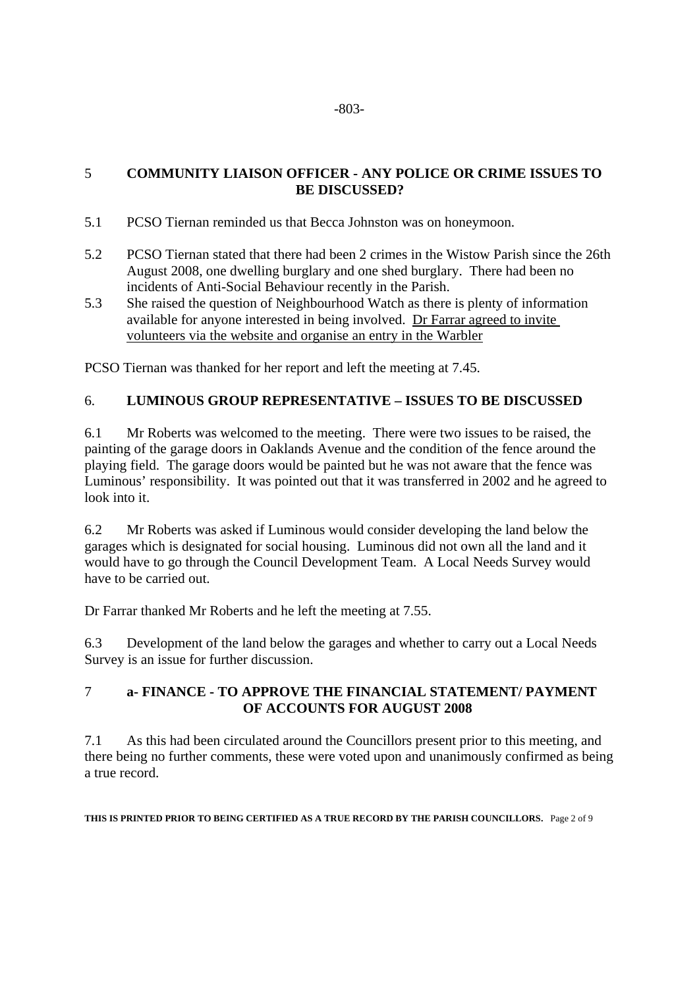#### 5 **COMMUNITY LIAISON OFFICER - ANY POLICE OR CRIME ISSUES TO BE DISCUSSED?**

- 5.1 PCSO Tiernan reminded us that Becca Johnston was on honeymoon.
- 5.2 PCSO Tiernan stated that there had been 2 crimes in the Wistow Parish since the 26th August 2008, one dwelling burglary and one shed burglary. There had been no incidents of Anti-Social Behaviour recently in the Parish.
- 5.3 She raised the question of Neighbourhood Watch as there is plenty of information available for anyone interested in being involved. Dr Farrar agreed to invite volunteers via the website and organise an entry in the Warbler

PCSO Tiernan was thanked for her report and left the meeting at 7.45.

### 6. **LUMINOUS GROUP REPRESENTATIVE – ISSUES TO BE DISCUSSED**

6.1 Mr Roberts was welcomed to the meeting. There were two issues to be raised, the painting of the garage doors in Oaklands Avenue and the condition of the fence around the playing field. The garage doors would be painted but he was not aware that the fence was Luminous' responsibility. It was pointed out that it was transferred in 2002 and he agreed to look into it.

6.2 Mr Roberts was asked if Luminous would consider developing the land below the garages which is designated for social housing. Luminous did not own all the land and it would have to go through the Council Development Team. A Local Needs Survey would have to be carried out.

Dr Farrar thanked Mr Roberts and he left the meeting at 7.55.

6.3 Development of the land below the garages and whether to carry out a Local Needs Survey is an issue for further discussion.

### 7 **a- FINANCE - TO APPROVE THE FINANCIAL STATEMENT/ PAYMENT OF ACCOUNTS FOR AUGUST 2008**

7.1 As this had been circulated around the Councillors present prior to this meeting, and there being no further comments, these were voted upon and unanimously confirmed as being a true record.

**THIS IS PRINTED PRIOR TO BEING CERTIFIED AS A TRUE RECORD BY THE PARISH COUNCILLORS.** Page 2 of 9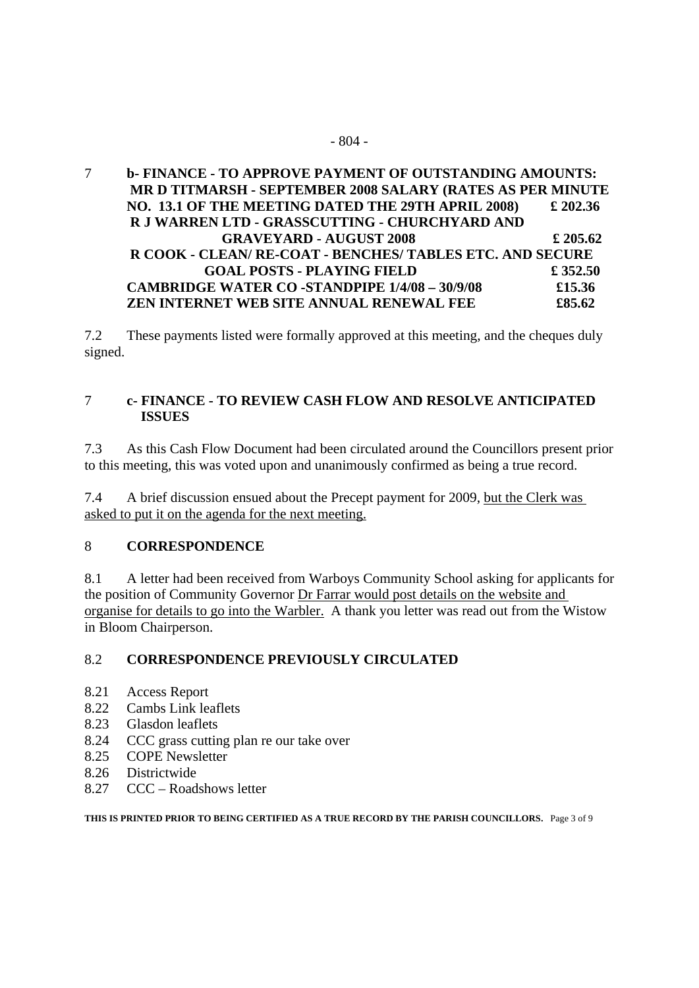#### 7 **b- FINANCE - TO APPROVE PAYMENT OF OUTSTANDING AMOUNTS: MR D TITMARSH - SEPTEMBER 2008 SALARY (RATES AS PER MINUTE NO. 13.1 OF THE MEETING DATED THE 29TH APRIL 2008) £ 202.36 R J WARREN LTD - GRASSCUTTING - CHURCHYARD AND GRAVEYARD - AUGUST 2008 £ 205.62 R COOK - CLEAN/ RE-COAT - BENCHES/ TABLES ETC. AND SECURE GOAL POSTS - PLAYING FIELD £ 352.50 CAMBRIDGE WATER CO -STANDPIPE 1/4/08 – 30/9/08 £15.36 ZEN INTERNET WEB SITE ANNUAL RENEWAL FEE £85.62**

7.2 These payments listed were formally approved at this meeting, and the cheques duly signed.

#### 7 **c- FINANCE - TO REVIEW CASH FLOW AND RESOLVE ANTICIPATED ISSUES**

7.3 As this Cash Flow Document had been circulated around the Councillors present prior to this meeting, this was voted upon and unanimously confirmed as being a true record.

7.4 A brief discussion ensued about the Precept payment for 2009, but the Clerk was asked to put it on the agenda for the next meeting.

### 8 **CORRESPONDENCE**

8.1 A letter had been received from Warboys Community School asking for applicants for the position of Community Governor Dr Farrar would post details on the website and organise for details to go into the Warbler. A thank you letter was read out from the Wistow in Bloom Chairperson.

### 8.2 **CORRESPONDENCE PREVIOUSLY CIRCULATED**

- 8.21 Access Report
- 8.22 Cambs Link leaflets
- 8.23 Glasdon leaflets
- 8.24 CCC grass cutting plan re our take over
- 8.25 COPE Newsletter
- 8.26 Districtwide
- 8.27 CCC Roadshows letter

**THIS IS PRINTED PRIOR TO BEING CERTIFIED AS A TRUE RECORD BY THE PARISH COUNCILLORS.** Page 3 of 9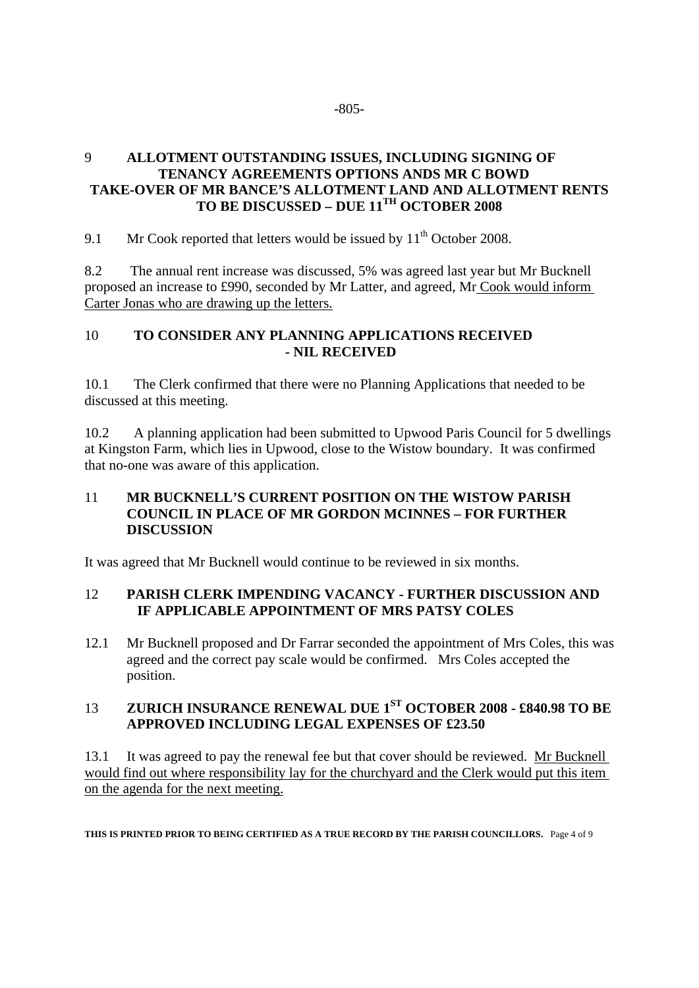### 9 **ALLOTMENT OUTSTANDING ISSUES, INCLUDING SIGNING OF TENANCY AGREEMENTS OPTIONS ANDS MR C BOWD TAKE-OVER OF MR BANCE'S ALLOTMENT LAND AND ALLOTMENT RENTS TO BE DISCUSSED – DUE 11TH OCTOBER 2008**

9.1 Mr Cook reported that letters would be issued by  $11<sup>th</sup>$  October 2008.

8.2 The annual rent increase was discussed, 5% was agreed last year but Mr Bucknell proposed an increase to £990, seconded by Mr Latter, and agreed, Mr Cook would inform Carter Jonas who are drawing up the letters.

#### 10 **TO CONSIDER ANY PLANNING APPLICATIONS RECEIVED - NIL RECEIVED**

10.1 The Clerk confirmed that there were no Planning Applications that needed to be discussed at this meeting.

10.2 A planning application had been submitted to Upwood Paris Council for 5 dwellings at Kingston Farm, which lies in Upwood, close to the Wistow boundary. It was confirmed that no-one was aware of this application.

#### 11 **MR BUCKNELL'S CURRENT POSITION ON THE WISTOW PARISH COUNCIL IN PLACE OF MR GORDON MCINNES – FOR FURTHER DISCUSSION**

It was agreed that Mr Bucknell would continue to be reviewed in six months.

### 12 **PARISH CLERK IMPENDING VACANCY - FURTHER DISCUSSION AND IF APPLICABLE APPOINTMENT OF MRS PATSY COLES**

12.1 Mr Bucknell proposed and Dr Farrar seconded the appointment of Mrs Coles, this was agreed and the correct pay scale would be confirmed. Mrs Coles accepted the position.

### 13 **ZURICH INSURANCE RENEWAL DUE 1ST OCTOBER 2008 - £840.98 TO BE APPROVED INCLUDING LEGAL EXPENSES OF £23.50**

13.1 It was agreed to pay the renewal fee but that cover should be reviewed. Mr Bucknell would find out where responsibility lay for the churchyard and the Clerk would put this item on the agenda for the next meeting.

**THIS IS PRINTED PRIOR TO BEING CERTIFIED AS A TRUE RECORD BY THE PARISH COUNCILLORS.** Page 4 of 9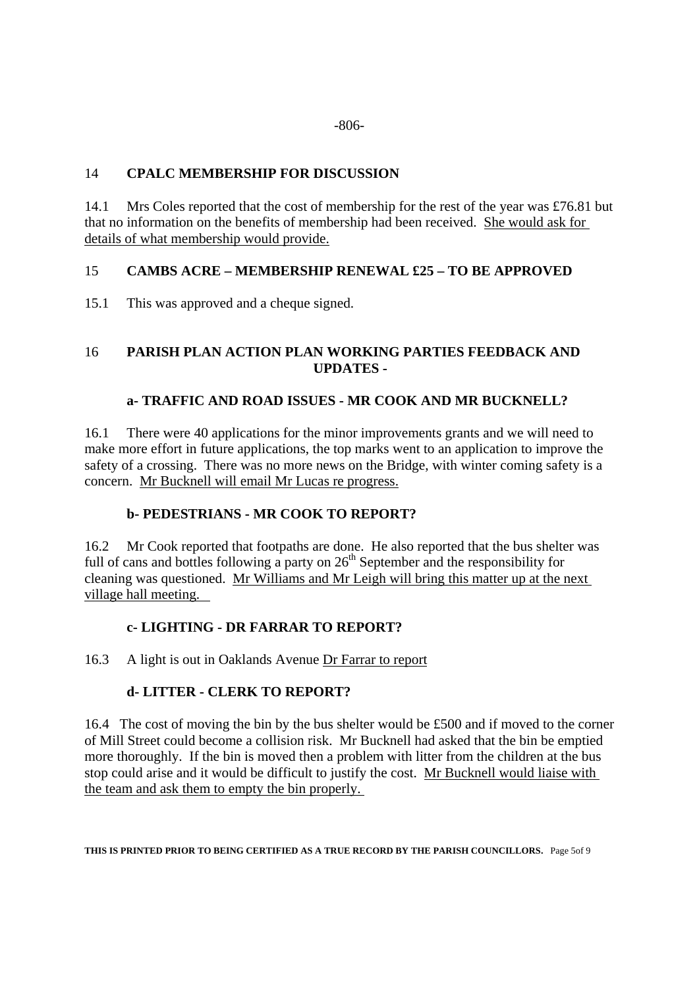### 14 **CPALC MEMBERSHIP FOR DISCUSSION**

14.1 Mrs Coles reported that the cost of membership for the rest of the year was £76.81 but that no information on the benefits of membership had been received. She would ask for details of what membership would provide.

### 15 **CAMBS ACRE – MEMBERSHIP RENEWAL £25 – TO BE APPROVED**

15.1 This was approved and a cheque signed.

### 16 **PARISH PLAN ACTION PLAN WORKING PARTIES FEEDBACK AND UPDATES -**

### **a- TRAFFIC AND ROAD ISSUES - MR COOK AND MR BUCKNELL?**

16.1 There were 40 applications for the minor improvements grants and we will need to make more effort in future applications, the top marks went to an application to improve the safety of a crossing. There was no more news on the Bridge, with winter coming safety is a concern. Mr Bucknell will email Mr Lucas re progress.

### **b- PEDESTRIANS - MR COOK TO REPORT?**

16.2 Mr Cook reported that footpaths are done. He also reported that the bus shelter was full of cans and bottles following a party on  $26<sup>th</sup>$  September and the responsibility for cleaning was questioned. Mr Williams and Mr Leigh will bring this matter up at the next village hall meeting.

### **c- LIGHTING - DR FARRAR TO REPORT?**

16.3 A light is out in Oaklands Avenue Dr Farrar to report

### **d- LITTER - CLERK TO REPORT?**

16.4 The cost of moving the bin by the bus shelter would be £500 and if moved to the corner of Mill Street could become a collision risk. Mr Bucknell had asked that the bin be emptied more thoroughly. If the bin is moved then a problem with litter from the children at the bus stop could arise and it would be difficult to justify the cost. Mr Bucknell would liaise with the team and ask them to empty the bin properly.

**THIS IS PRINTED PRIOR TO BEING CERTIFIED AS A TRUE RECORD BY THE PARISH COUNCILLORS.** Page 5of 9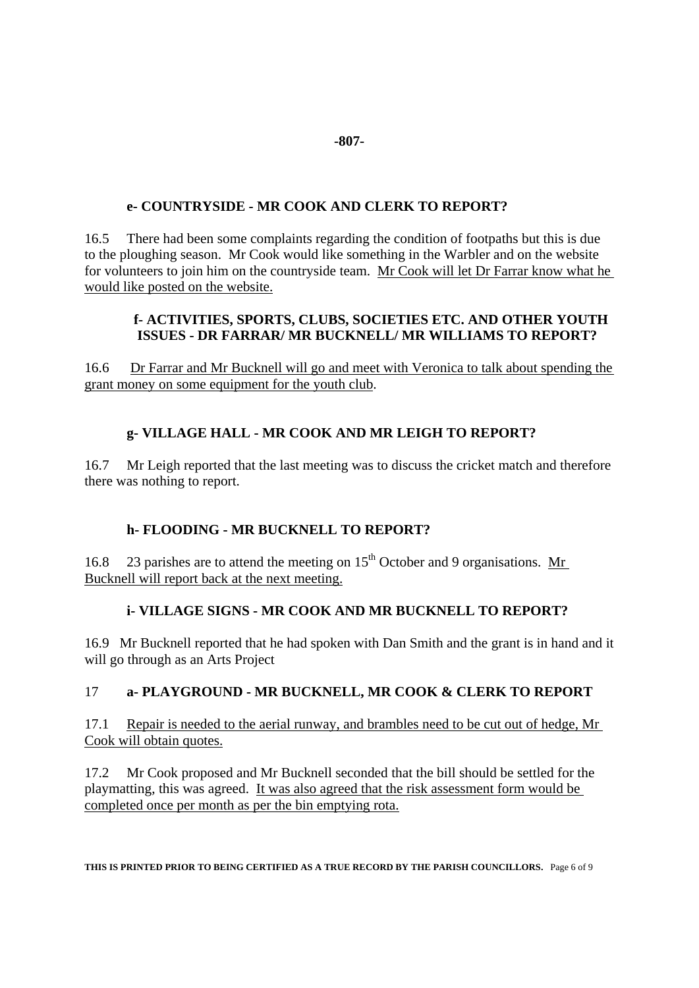### **e- COUNTRYSIDE - MR COOK AND CLERK TO REPORT?**

16.5 There had been some complaints regarding the condition of footpaths but this is due to the ploughing season. Mr Cook would like something in the Warbler and on the website for volunteers to join him on the countryside team. Mr Cook will let Dr Farrar know what he would like posted on the website.

#### **f- ACTIVITIES, SPORTS, CLUBS, SOCIETIES ETC. AND OTHER YOUTH ISSUES - DR FARRAR/ MR BUCKNELL/ MR WILLIAMS TO REPORT?**

16.6 Dr Farrar and Mr Bucknell will go and meet with Veronica to talk about spending the grant money on some equipment for the youth club.

# **g- VILLAGE HALL - MR COOK AND MR LEIGH TO REPORT?**

16.7 Mr Leigh reported that the last meeting was to discuss the cricket match and therefore there was nothing to report.

### **h- FLOODING - MR BUCKNELL TO REPORT?**

16.8 23 parishes are to attend the meeting on  $15<sup>th</sup>$  October and 9 organisations. Mr Bucknell will report back at the next meeting.

# **i- VILLAGE SIGNS - MR COOK AND MR BUCKNELL TO REPORT?**

16.9 Mr Bucknell reported that he had spoken with Dan Smith and the grant is in hand and it will go through as an Arts Project

### 17 **a- PLAYGROUND - MR BUCKNELL, MR COOK & CLERK TO REPORT**

17.1 Repair is needed to the aerial runway, and brambles need to be cut out of hedge, Mr Cook will obtain quotes.

17.2 Mr Cook proposed and Mr Bucknell seconded that the bill should be settled for the playmatting, this was agreed. It was also agreed that the risk assessment form would be completed once per month as per the bin emptying rota.

**THIS IS PRINTED PRIOR TO BEING CERTIFIED AS A TRUE RECORD BY THE PARISH COUNCILLORS.** Page 6 of 9

#### **-807-**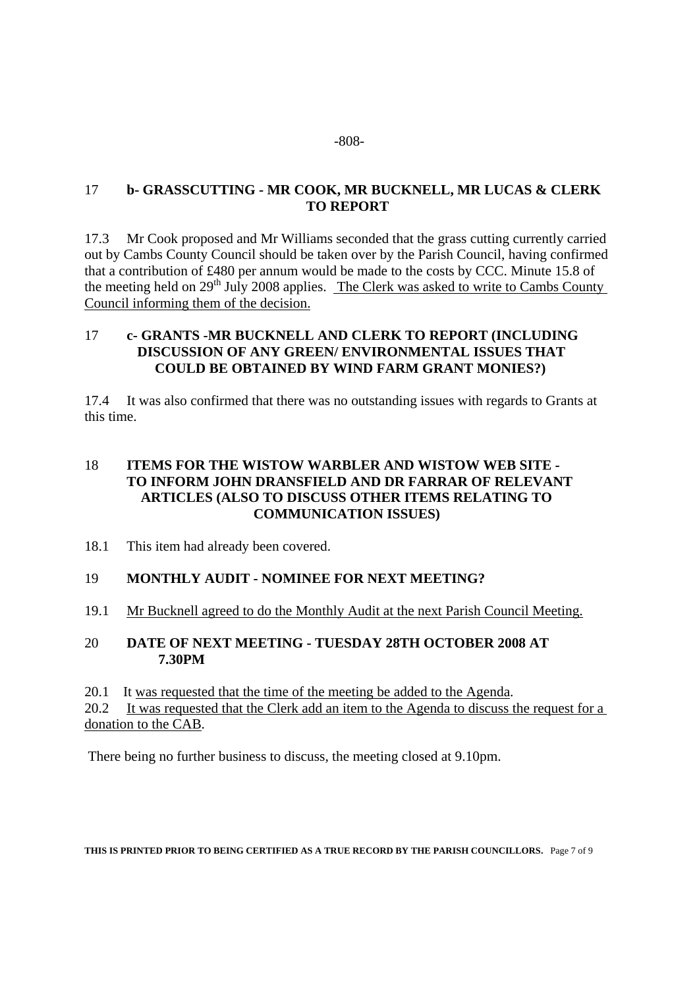#### 17 **b- GRASSCUTTING - MR COOK, MR BUCKNELL, MR LUCAS & CLERK TO REPORT**

17.3 Mr Cook proposed and Mr Williams seconded that the grass cutting currently carried out by Cambs County Council should be taken over by the Parish Council, having confirmed that a contribution of £480 per annum would be made to the costs by CCC. Minute 15.8 of the meeting held on 29<sup>th</sup> July 2008 applies. The Clerk was asked to write to Cambs County Council informing them of the decision.

#### 17 **c- GRANTS -MR BUCKNELL AND CLERK TO REPORT (INCLUDING DISCUSSION OF ANY GREEN/ ENVIRONMENTAL ISSUES THAT COULD BE OBTAINED BY WIND FARM GRANT MONIES?)**

17.4 It was also confirmed that there was no outstanding issues with regards to Grants at this time.

### 18 **ITEMS FOR THE WISTOW WARBLER AND WISTOW WEB SITE - TO INFORM JOHN DRANSFIELD AND DR FARRAR OF RELEVANT ARTICLES (ALSO TO DISCUSS OTHER ITEMS RELATING TO COMMUNICATION ISSUES)**

18.1 This item had already been covered.

#### 19 **MONTHLY AUDIT - NOMINEE FOR NEXT MEETING?**

19.1 Mr Bucknell agreed to do the Monthly Audit at the next Parish Council Meeting.

### 20 **DATE OF NEXT MEETING - TUESDAY 28TH OCTOBER 2008 AT 7.30PM**

20.1 It was requested that the time of the meeting be added to the Agenda.

20.2 It was requested that the Clerk add an item to the Agenda to discuss the request for a donation to the CAB.

There being no further business to discuss, the meeting closed at 9.10pm.

**THIS IS PRINTED PRIOR TO BEING CERTIFIED AS A TRUE RECORD BY THE PARISH COUNCILLORS.** Page 7 of 9

#### -808-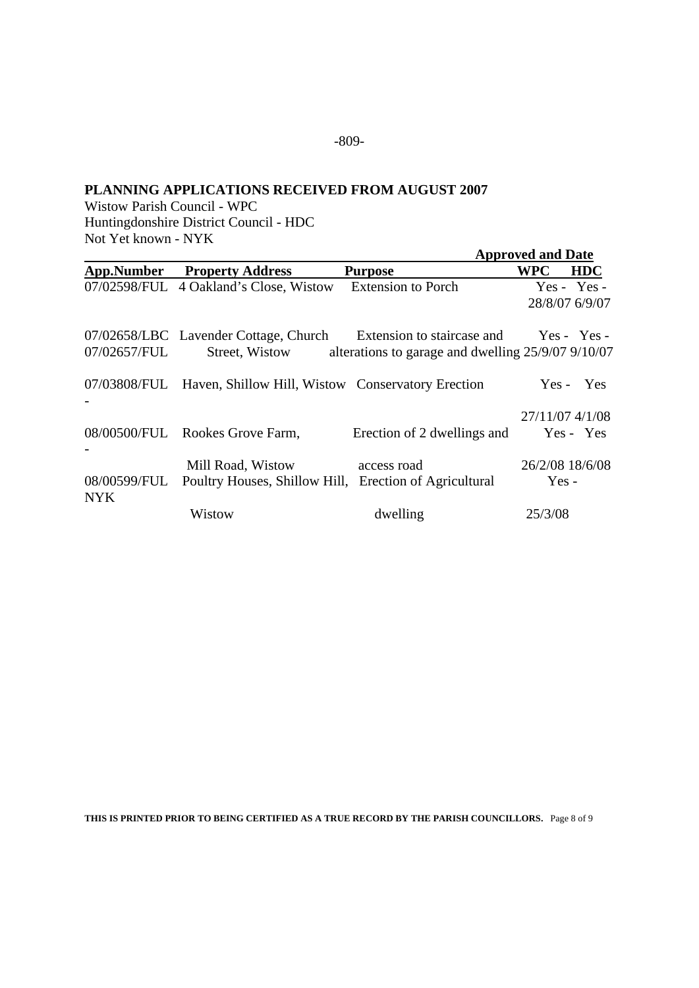### **PLANNING APPLICATIONS RECEIVED FROM AUGUST 2007**

Wistow Parish Council - WPC Huntingdonshire District Council - HDC Not Yet known - NYK

|                            |                                                                                         |                                                                                              | <b>Approved and Date</b>        |
|----------------------------|-----------------------------------------------------------------------------------------|----------------------------------------------------------------------------------------------|---------------------------------|
| App.Number                 | <b>Property Address</b>                                                                 | <b>Purpose</b>                                                                               | <b>WPC</b><br><b>HDC</b>        |
|                            | 07/02598/FUL 4 Oakland's Close, Wistow                                                  | <b>Extension to Porch</b>                                                                    | $Yes - Yes -$<br>28/8/07 6/9/07 |
| 07/02657/FUL               | 07/02658/LBC Lavender Cottage, Church<br>Street, Wistow                                 | Extension to staircase and Yes - Yes -<br>alterations to garage and dwelling 25/9/07 9/10/07 |                                 |
|                            | 07/03808/FUL Haven, Shillow Hill, Wistow Conservatory Erection                          |                                                                                              | Yes - Yes                       |
|                            | 08/00500/FUL Rookes Grove Farm,                                                         | Erection of 2 dwellings and                                                                  | 27/11/07 4/1/08<br>Yes - Yes    |
| 08/00599/FUL<br><b>NYK</b> | Mill Road, Wistow access road<br>Poultry Houses, Shillow Hill, Erection of Agricultural |                                                                                              | 26/2/08 18/6/08<br>$Yes -$      |
|                            | Wistow                                                                                  | dwelling                                                                                     | 25/3/08                         |

**THIS IS PRINTED PRIOR TO BEING CERTIFIED AS A TRUE RECORD BY THE PARISH COUNCILLORS.** Page 8 of 9

-809-